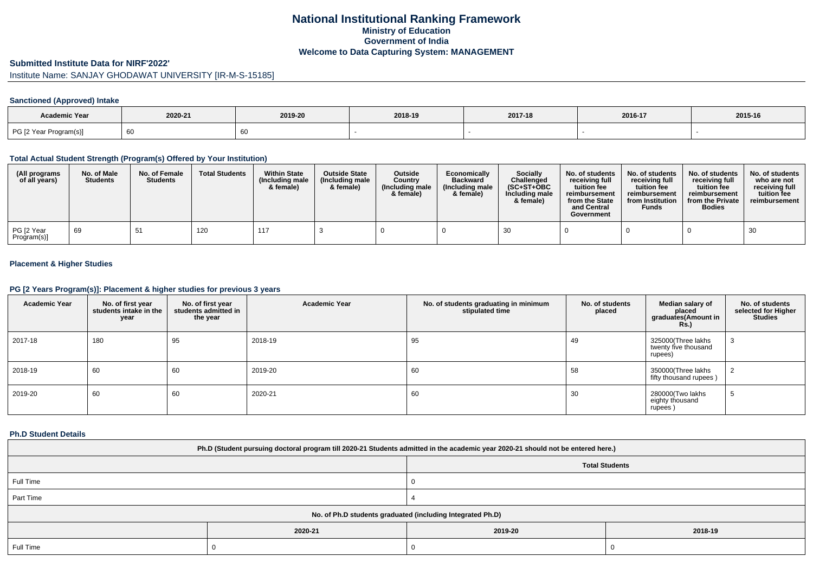# **National Institutional Ranking FrameworkMinistry of Education Government of IndiaWelcome to Data Capturing System: MANAGEMENT**

#### **Submitted Institute Data for NIRF'2022'**

# Institute Name: SANJAY GHODAWAT UNIVERSITY [IR-M-S-15185]

### **Sanctioned (Approved) Intake**

| Academic Year          |         |         |         |         |         |         |
|------------------------|---------|---------|---------|---------|---------|---------|
|                        | 2020-21 | 2019-20 | 2018-19 | 2017-18 | 2016-17 | 2015-16 |
| PG [2 Year Program(s)] | ັບເ     |         |         |         |         |         |

#### **Total Actual Student Strength (Program(s) Offered by Your Institution)**

| (All programs<br>of all years) | No. of Male<br><b>Students</b> | No. of Female<br><b>Students</b> | <b>Total Students</b> | <b>Within State</b><br>(Including male<br>& female) | <b>Outside State</b><br>(Including male)<br>& female) | <b>Outside</b><br>Country<br>(Including male<br>& female) | Economically<br><b>Backward</b><br>(Including male<br>& female) | <b>Socially</b><br>Challenged<br>$(SC+ST+OBC)$<br>Including male<br>& female) | No. of students<br>receivina full<br>tuition fee<br>reimbursement<br>from the State<br>and Central<br>Government | No. of students<br>receiving full<br>tuition fee<br>reimbursement<br>from Institution<br><b>Funds</b> | No. of students<br>receiving full<br>tuition fee<br>reimbursement<br>from the Private<br><b>Bodies</b> | No. of students<br>who are not<br>receiving full<br>tuition fee<br>reimbursement |
|--------------------------------|--------------------------------|----------------------------------|-----------------------|-----------------------------------------------------|-------------------------------------------------------|-----------------------------------------------------------|-----------------------------------------------------------------|-------------------------------------------------------------------------------|------------------------------------------------------------------------------------------------------------------|-------------------------------------------------------------------------------------------------------|--------------------------------------------------------------------------------------------------------|----------------------------------------------------------------------------------|
| PG [2 Year<br>Program(s)]      | 69                             | 51                               | 120                   | 117                                                 |                                                       |                                                           |                                                                 | 30                                                                            |                                                                                                                  |                                                                                                       |                                                                                                        | 30                                                                               |

### **Placement & Higher Studies**

#### **PG [2 Years Program(s)]: Placement & higher studies for previous 3 years**

| <b>Academic Year</b> | No. of first year<br>students intake in the<br>year | No. of first year<br>students admitted in<br>the year | <b>Academic Year</b> | No. of students graduating in minimum<br>stipulated time | No. of students<br>placed | Median salary of<br>placed<br>graduates(Amount in<br><b>Rs.)</b> | No. of students<br>selected for Higher<br><b>Studies</b> |
|----------------------|-----------------------------------------------------|-------------------------------------------------------|----------------------|----------------------------------------------------------|---------------------------|------------------------------------------------------------------|----------------------------------------------------------|
| 2017-18              | 180                                                 | 95                                                    | 2018-19              | 95                                                       | 49                        | 325000(Three lakhs<br>twenty five thousand<br>rupees)            | 3                                                        |
| 2018-19              | 60                                                  | 60                                                    | 2019-20              | 60                                                       | 58                        | 350000(Three lakhs<br>fifty thousand rupees)                     | ∠                                                        |
| 2019-20              | 60                                                  | 60                                                    | 2020-21              | 60                                                       | 30                        | 280000(Two lakhs<br>eighty thousand<br>rupees)                   | ರಿ                                                       |

#### **Ph.D Student Details**

| Ph.D (Student pursuing doctoral program till 2020-21 Students admitted in the academic year 2020-21 should not be entered here.) |         |                       |         |  |  |  |
|----------------------------------------------------------------------------------------------------------------------------------|---------|-----------------------|---------|--|--|--|
|                                                                                                                                  |         | <b>Total Students</b> |         |  |  |  |
| Full Time                                                                                                                        |         |                       |         |  |  |  |
| Part Time                                                                                                                        |         |                       |         |  |  |  |
| No. of Ph.D students graduated (including Integrated Ph.D)                                                                       |         |                       |         |  |  |  |
|                                                                                                                                  | 2020-21 | 2019-20               | 2018-19 |  |  |  |
| Full Time                                                                                                                        |         |                       |         |  |  |  |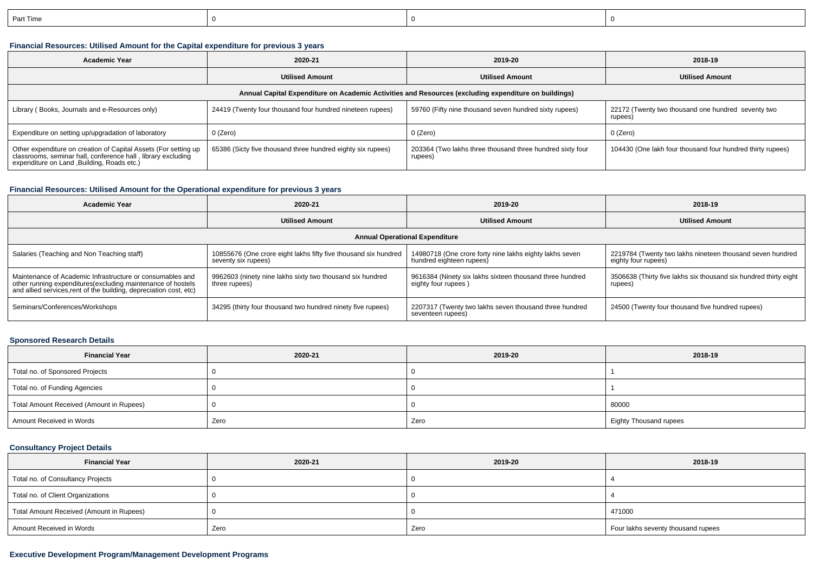| n-<br>t lime |  |  |
|--------------|--|--|
|              |  |  |

## **Financial Resources: Utilised Amount for the Capital expenditure for previous 3 years**

| <b>Academic Year</b>                                                                                                                                                           | 2020-21                                                     | 2019-20                                                              | 2018-19                                                       |  |  |  |  |  |
|--------------------------------------------------------------------------------------------------------------------------------------------------------------------------------|-------------------------------------------------------------|----------------------------------------------------------------------|---------------------------------------------------------------|--|--|--|--|--|
|                                                                                                                                                                                | <b>Utilised Amount</b>                                      | <b>Utilised Amount</b>                                               | <b>Utilised Amount</b>                                        |  |  |  |  |  |
| Annual Capital Expenditure on Academic Activities and Resources (excluding expenditure on buildings)                                                                           |                                                             |                                                                      |                                                               |  |  |  |  |  |
| Library (Books, Journals and e-Resources only)                                                                                                                                 | 24419 (Twenty four thousand four hundred nineteen rupees)   | 59760 (Fifty nine thousand seven hundred sixty rupees)               | 22172 (Twenty two thousand one hundred seventy two<br>rupees) |  |  |  |  |  |
| Expenditure on setting up/upgradation of laboratory                                                                                                                            | 0 (Zero)                                                    | 0 (Zero)                                                             | 0 (Zero)                                                      |  |  |  |  |  |
| Other expenditure on creation of Capital Assets (For setting up<br>classrooms, seminar hall, conference hall, library excluding<br>expenditure on Land , Building, Roads etc.) | 65386 (Sicty five thousand three hundred eighty six rupees) | 203364 (Two lakhs three thousand three hundred sixty four<br>rupees) | 104430 (One lakh four thousand four hundred thirty rupees)    |  |  |  |  |  |

### **Financial Resources: Utilised Amount for the Operational expenditure for previous 3 years**

| <b>Academic Year</b>                                                                                                                                                                            | 2020-21                                                                                | 2019-20                                                                             | 2018-19                                                                          |  |  |  |  |  |
|-------------------------------------------------------------------------------------------------------------------------------------------------------------------------------------------------|----------------------------------------------------------------------------------------|-------------------------------------------------------------------------------------|----------------------------------------------------------------------------------|--|--|--|--|--|
|                                                                                                                                                                                                 | <b>Utilised Amount</b>                                                                 | <b>Utilised Amount</b>                                                              | <b>Utilised Amount</b>                                                           |  |  |  |  |  |
| <b>Annual Operational Expenditure</b>                                                                                                                                                           |                                                                                        |                                                                                     |                                                                                  |  |  |  |  |  |
| Salaries (Teaching and Non Teaching staff)                                                                                                                                                      | 10855676 (One crore eight lakhs fifty five thousand six hundred<br>seventy six rupees) | 14980718 (One crore forty nine lakhs eighty lakhs seven<br>hundred eighteen rupees) | 2219784 (Twenty two lakhs nineteen thousand seven hundred<br>eighty four rupees) |  |  |  |  |  |
| Maintenance of Academic Infrastructure or consumables and<br>other running expenditures (excluding maintenance of hostels<br>and allied services, rent of the building, depreciation cost, etc) | 9962603 (ninety nine lakhs sixty two thousand six hundred<br>three rupees)             | 9616384 (Ninety six lakhs sixteen thousand three hundred<br>eighty four rupees)     | 3506638 (Thirty five lakhs six thousand six hundred thirty eight<br>rupees)      |  |  |  |  |  |
| Seminars/Conferences/Workshops                                                                                                                                                                  | 34295 (thirty four thousand two hundred ninety five rupees)                            | 2207317 (Twenty two lakhs seven thousand three hundred<br>seventeen rupees)         | 24500 (Twenty four thousand five hundred rupees)                                 |  |  |  |  |  |

## **Sponsored Research Details**

| <b>Financial Year</b>                    | 2020-21 | 2019-20 | 2018-19                       |  |
|------------------------------------------|---------|---------|-------------------------------|--|
| Total no. of Sponsored Projects          |         |         |                               |  |
| Total no. of Funding Agencies            |         |         |                               |  |
| Total Amount Received (Amount in Rupees) |         |         | 80000                         |  |
| Amount Received in Words                 | Zero    | Zero    | <b>Eighty Thousand rupees</b> |  |

### **Consultancy Project Details**

| <b>Financial Year</b>                    | 2020-21 | 2019-20 | 2018-19                            |  |
|------------------------------------------|---------|---------|------------------------------------|--|
| Total no. of Consultancy Projects        |         |         |                                    |  |
| Total no. of Client Organizations        |         |         |                                    |  |
| Total Amount Received (Amount in Rupees) |         |         | 471000                             |  |
| Amount Received in Words                 | Zero    | Zero    | Four lakhs seventy thousand rupees |  |

## **Executive Development Program/Management Development Programs**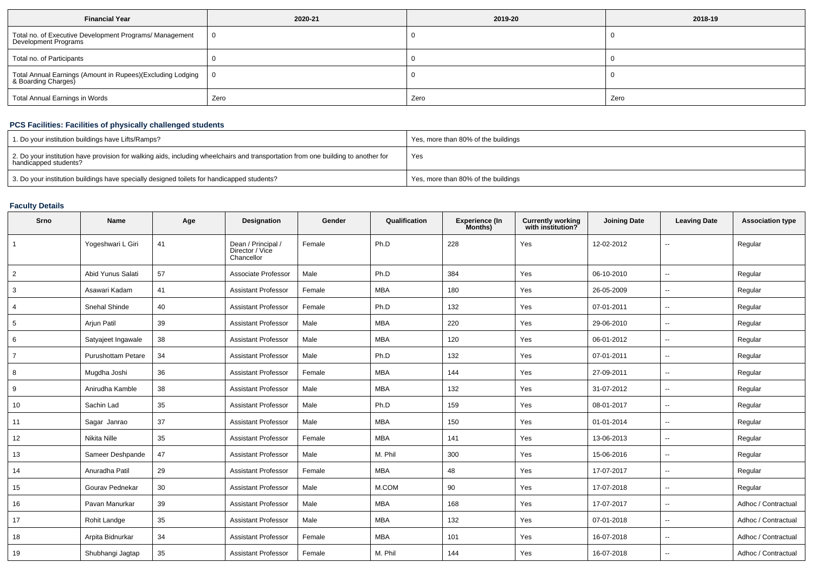| <b>Financial Year</b>                                                             | 2020-21 | 2019-20 | 2018-19 |  |
|-----------------------------------------------------------------------------------|---------|---------|---------|--|
| Total no. of Executive Development Programs/ Management<br>Development Programs   |         |         |         |  |
| Total no. of Participants                                                         |         |         |         |  |
| Total Annual Earnings (Amount in Rupees)(Excluding Lodging<br>& Boarding Charges) |         |         |         |  |
| <b>Total Annual Earnings in Words</b>                                             | Zero    | Zero    | Zero    |  |

## **PCS Facilities: Facilities of physically challenged students**

| 1. Do your institution buildings have Lifts/Ramps?                                                                                                         | Yes, more than 80% of the buildings |
|------------------------------------------------------------------------------------------------------------------------------------------------------------|-------------------------------------|
| 2. Do your institution have provision for walking aids, including wheelchairs and transportation from one building to another for<br>handicapped students? | Yes                                 |
| 3. Do your institution buildings have specially designed toilets for handicapped students?                                                                 | Yes, more than 80% of the buildings |

## **Faculty Details**

| Srno           | Name                      | Age | Designation                                         | Gender | Qualification | <b>Experience (In</b><br>Months) | <b>Currently working</b><br>with institution? | <b>Joining Date</b> | <b>Leaving Date</b>      | <b>Association type</b> |
|----------------|---------------------------|-----|-----------------------------------------------------|--------|---------------|----------------------------------|-----------------------------------------------|---------------------|--------------------------|-------------------------|
|                | Yogeshwari L Giri         | 41  | Dean / Principal /<br>Director / Vice<br>Chancellor | Female | Ph.D          | 228                              | Yes                                           | 12-02-2012          |                          | Regular                 |
| $\overline{2}$ | Abid Yunus Salati         | 57  | Associate Professor                                 | Male   | Ph.D          | 384                              | Yes                                           | 06-10-2010          | $\overline{\phantom{a}}$ | Regular                 |
| 3              | Asawari Kadam             | 41  | <b>Assistant Professor</b>                          | Female | <b>MBA</b>    | 180                              | Yes                                           | 26-05-2009          | $\overline{\phantom{a}}$ | Regular                 |
| 4              | Snehal Shinde             | 40  | <b>Assistant Professor</b>                          | Female | Ph.D          | 132                              | Yes                                           | 07-01-2011          | $\overline{\phantom{a}}$ | Regular                 |
| 5              | Arjun Patil               | 39  | <b>Assistant Professor</b>                          | Male   | <b>MBA</b>    | 220                              | Yes                                           | 29-06-2010          | $\overline{\phantom{a}}$ | Regular                 |
| 6              | Satyajeet Ingawale        | 38  | <b>Assistant Professor</b>                          | Male   | <b>MBA</b>    | 120                              | Yes                                           | 06-01-2012          | $\overline{\phantom{a}}$ | Regular                 |
| $\overline{7}$ | <b>Purushottam Petare</b> | 34  | <b>Assistant Professor</b>                          | Male   | Ph.D          | 132                              | Yes                                           | 07-01-2011          | $\sim$                   | Regular                 |
| 8              | Mugdha Joshi              | 36  | <b>Assistant Professor</b>                          | Female | <b>MBA</b>    | 144                              | Yes                                           | 27-09-2011          | $\overline{\phantom{a}}$ | Regular                 |
| 9              | Anirudha Kamble           | 38  | <b>Assistant Professor</b>                          | Male   | <b>MBA</b>    | 132                              | Yes                                           | 31-07-2012          | $\overline{\phantom{a}}$ | Regular                 |
| 10             | Sachin Lad                | 35  | <b>Assistant Professor</b>                          | Male   | Ph.D          | 159                              | Yes                                           | 08-01-2017          | $\overline{\phantom{a}}$ | Regular                 |
| 11             | Sagar Janrao              | 37  | <b>Assistant Professor</b>                          | Male   | <b>MBA</b>    | 150                              | Yes                                           | 01-01-2014          | $\overline{\phantom{a}}$ | Regular                 |
| 12             | Nikita Nille              | 35  | <b>Assistant Professor</b>                          | Female | <b>MBA</b>    | 141                              | Yes                                           | 13-06-2013          | $\overline{\phantom{a}}$ | Regular                 |
| 13             | Sameer Deshpande          | 47  | <b>Assistant Professor</b>                          | Male   | M. Phil       | 300                              | Yes                                           | 15-06-2016          | $\overline{\phantom{a}}$ | Regular                 |
| 14             | Anuradha Patil            | 29  | <b>Assistant Professor</b>                          | Female | <b>MBA</b>    | 48                               | Yes                                           | 17-07-2017          | $\overline{\phantom{a}}$ | Regular                 |
| 15             | Gourav Pednekar           | 30  | <b>Assistant Professor</b>                          | Male   | M.COM         | 90                               | Yes                                           | 17-07-2018          | $\overline{\phantom{a}}$ | Regular                 |
| 16             | Pavan Manurkar            | 39  | <b>Assistant Professor</b>                          | Male   | <b>MBA</b>    | 168                              | Yes                                           | 17-07-2017          | $\overline{\phantom{a}}$ | Adhoc / Contractual     |
| 17             | Rohit Landge              | 35  | <b>Assistant Professor</b>                          | Male   | <b>MBA</b>    | 132                              | Yes                                           | 07-01-2018          | $\sim$                   | Adhoc / Contractual     |
| 18             | Arpita Bidnurkar          | 34  | <b>Assistant Professor</b>                          | Female | <b>MBA</b>    | 101                              | Yes                                           | 16-07-2018          | $\overline{\phantom{a}}$ | Adhoc / Contractual     |
| 19             | Shubhangi Jagtap          | 35  | <b>Assistant Professor</b>                          | Female | M. Phil       | 144                              | Yes                                           | 16-07-2018          |                          | Adhoc / Contractual     |